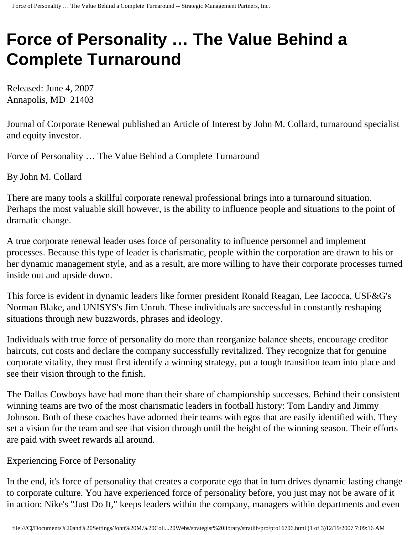## **Force of Personality … The Value Behind a Complete Turnaround**

Released: June 4, 2007 Annapolis, MD 21403

Journal of Corporate Renewal published an Article of Interest by John M. Collard, turnaround specialist and equity investor.

Force of Personality … The Value Behind a Complete Turnaround

By John M. Collard

There are many tools a skillful corporate renewal professional brings into a turnaround situation. Perhaps the most valuable skill however, is the ability to influence people and situations to the point of dramatic change.

A true corporate renewal leader uses force of personality to influence personnel and implement processes. Because this type of leader is charismatic, people within the corporation are drawn to his or her dynamic management style, and as a result, are more willing to have their corporate processes turned inside out and upside down.

This force is evident in dynamic leaders like former president Ronald Reagan, Lee Iacocca, USF&G's Norman Blake, and UNISYS's Jim Unruh. These individuals are successful in constantly reshaping situations through new buzzwords, phrases and ideology.

Individuals with true force of personality do more than reorganize balance sheets, encourage creditor haircuts, cut costs and declare the company successfully revitalized. They recognize that for genuine corporate vitality, they must first identify a winning strategy, put a tough transition team into place and see their vision through to the finish.

The Dallas Cowboys have had more than their share of championship successes. Behind their consistent winning teams are two of the most charismatic leaders in football history: Tom Landry and Jimmy Johnson. Both of these coaches have adorned their teams with egos that are easily identified with. They set a vision for the team and see that vision through until the height of the winning season. Their efforts are paid with sweet rewards all around.

## Experiencing Force of Personality

In the end, it's force of personality that creates a corporate ego that in turn drives dynamic lasting change to corporate culture. You have experienced force of personality before, you just may not be aware of it in action: Nike's "Just Do It," keeps leaders within the company, managers within departments and even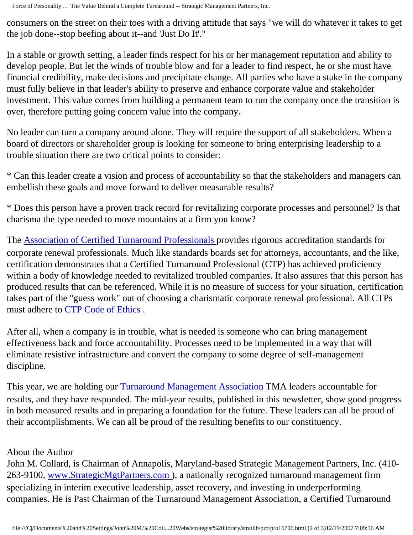Force of Personality … The Value Behind a Complete Turnaround -- Strategic Management Partners, Inc.

consumers on the street on their toes with a driving attitude that says "we will do whatever it takes to get the job done--stop beefing about it--and 'Just Do It'."

In a stable or growth setting, a leader finds respect for his or her management reputation and ability to develop people. But let the winds of trouble blow and for a leader to find respect, he or she must have financial credibility, make decisions and precipitate change. All parties who have a stake in the company must fully believe in that leader's ability to preserve and enhance corporate value and stakeholder investment. This value comes from building a permanent team to run the company once the transition is over, therefore putting going concern value into the company.

No leader can turn a company around alone. They will require the support of all stakeholders. When a board of directors or shareholder group is looking for someone to bring enterprising leadership to a trouble situation there are two critical points to consider:

\* Can this leader create a vision and process of accountability so that the stakeholders and managers can embellish these goals and move forward to deliver measurable results?

\* Does this person have a proven track record for revitalizing corporate processes and personnel? Is that charisma the type needed to move mountains at a firm you know?

The [Association of Certified Turnaround Professionals](http://www.actp.org/) provides rigorous accreditation standards for corporate renewal professionals. Much like standards boards set for attorneys, accountants, and the like, certification demonstrates that a Certified Turnaround Professional (CTP) has achieved proficiency within a body of knowledge needed to revitalized troubled companies. It also assures that this person has produced results that can be referenced. While it is no measure of success for your situation, certification takes part of the "guess work" out of choosing a charismatic corporate renewal professional. All CTPs must adhere to [CTP Code of Ethics](http://www.actp.org/about/ethics.asp).

After all, when a company is in trouble, what is needed is someone who can bring management effectiveness back and force accountability. Processes need to be implemented in a way that will eliminate resistive infrastructure and convert the company to some degree of self-management discipline.

This year, we are holding our [Turnaround Management Association](http://www.turnaround.org/) TMA leaders accountable for results, and they have responded. The mid-year results, published in this newsletter, show good progress in both measured results and in preparing a foundation for the future. These leaders can all be proud of their accomplishments. We can all be proud of the resulting benefits to our constituency.

## About the Author

John M. Collard, is Chairman of Annapolis, Maryland-based Strategic Management Partners, Inc. (410 263-9100, [www.StrategicMgtPartners.com](http://www.strategicmgtpartners.com/)), a nationally recognized turnaround management firm specializing in interim executive leadership, asset recovery, and investing in underperforming companies. He is Past Chairman of the Turnaround Management Association, a Certified Turnaround